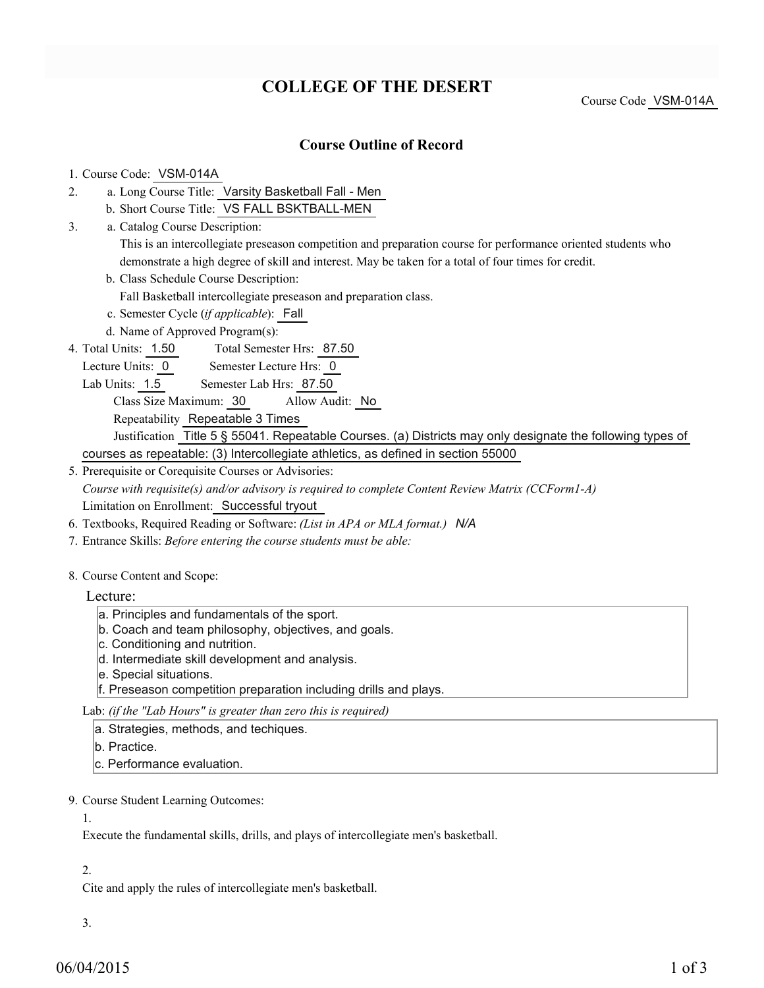# **COLLEGE OF THE DESERT**

Course Code VSM-014A

### **Course Outline of Record**

#### 1. Course Code: VSM-014A

- a. Long Course Title: Varsity Basketball Fall Men 2.
	- b. Short Course Title: VS FALL BSKTBALL-MEN
- Catalog Course Description: a. 3.

This is an intercollegiate preseason competition and preparation course for performance oriented students who demonstrate a high degree of skill and interest. May be taken for a total of four times for credit.

b. Class Schedule Course Description:

Fall Basketball intercollegiate preseason and preparation class.

- c. Semester Cycle (*if applicable*): Fall
- d. Name of Approved Program(s):
- Total Semester Hrs: 87.50 4. Total Units: 1.50
	- Lecture Units: 0 Semester Lecture Hrs: 0
	- Lab Units: 1.5 Semester Lab Hrs: 87.50
		- Class Size Maximum: 30 Allow Audit: No

Repeatability Repeatable 3 Times

Justification Title 5 § 55041. Repeatable Courses. (a) Districts may only designate the following types of courses as repeatable: (3) Intercollegiate athletics, as defined in section 55000

5. Prerequisite or Corequisite Courses or Advisories:

*Course with requisite(s) and/or advisory is required to complete Content Review Matrix (CCForm1-A)* Limitation on Enrollment: Successful tryout

- 6. Textbooks, Required Reading or Software: *(List in APA or MLA format.) N/A*
- 7. Entrance Skills: *Before entering the course students must be able:*

#### 8. Course Content and Scope:

Lecture:

- a. Principles and fundamentals of the sport.
- b. Coach and team philosophy, objectives, and goals.
- c. Conditioning and nutrition.
- d. Intermediate skill development and analysis.
- e. Special situations.

f. Preseason competition preparation including drills and plays.

Lab: *(if the "Lab Hours" is greater than zero this is required)*

- a. Strategies, methods, and techiques.
- b. Practice.
- c. Performance evaluation.
- 9. Course Student Learning Outcomes:

1.

Execute the fundamental skills, drills, and plays of intercollegiate men's basketball.

#### 2.

Cite and apply the rules of intercollegiate men's basketball.

3.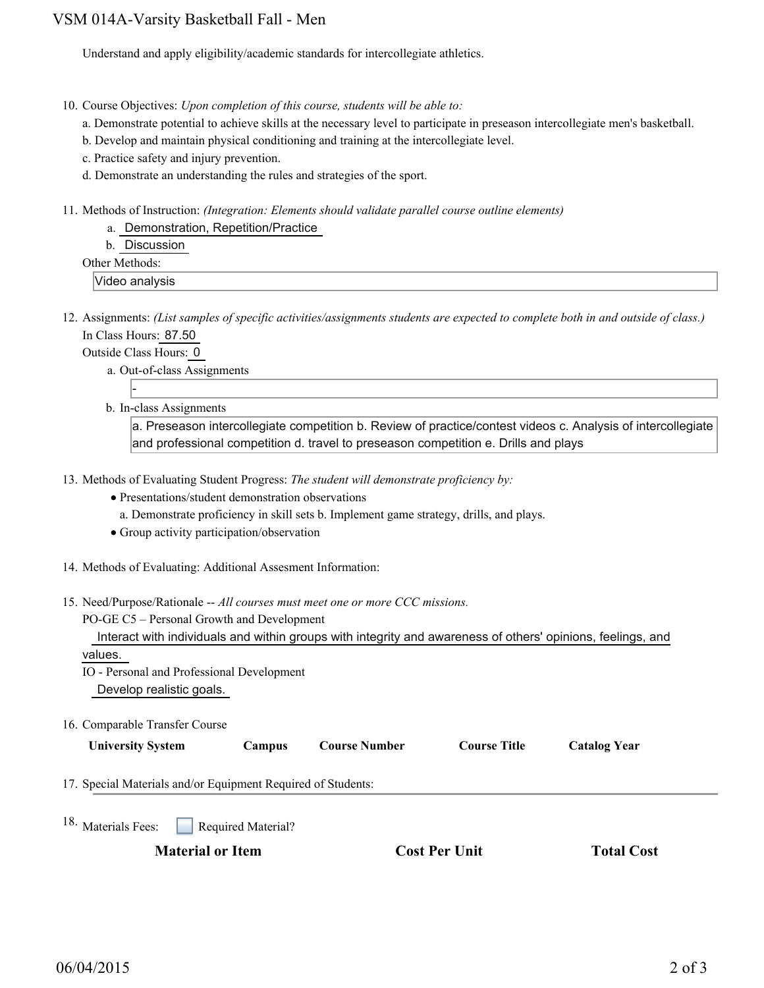## VSM 014A-Varsity Basketball Fall - Men

Understand and apply eligibility/academic standards for intercollegiate athletics.

- 10. Course Objectives: Upon completion of this course, students will be able to:
	- a. Demonstrate potential to achieve skills at the necessary level to participate in preseason intercollegiate men's basketball.
	- b. Develop and maintain physical conditioning and training at the intercollegiate level.
	- c. Practice safety and injury prevention.
	- d. Demonstrate an understanding the rules and strategies of the sport.
- 11. Methods of Instruction: *(Integration: Elements should validate parallel course outline elements)* 
	- a. Demonstration, Repetition/Practice
	- b. Discussion

Other Methods:

Video analysis

12. Assignments: (List samples of specific activities/assignments students are expected to complete both in and outside of class.) In Class Hours: 87.50

Outside Class Hours: 0

- a. Out-of-class Assignments
- -
- b. In-class Assignments

a. Preseason intercollegiate competition b. Review of practice/contest videos c. Analysis of intercollegiate and professional competition d. travel to preseason competition e. Drills and plays

- 13. Methods of Evaluating Student Progress: The student will demonstrate proficiency by:
	- Presentations/student demonstration observations
	- a. Demonstrate proficiency in skill sets b. Implement game strategy, drills, and plays.
	- Group activity participation/observation
- 14. Methods of Evaluating: Additional Assesment Information:
- 15. Need/Purpose/Rationale -- All courses must meet one or more CCC missions.
- PO-GE C5 Personal Growth and Development Interact with individuals and within groups with integrity and awareness of others' opinions, feelings, and values. IO - Personal and Professional Development
	- Develop realistic goals.
- 16. Comparable Transfer Course

| <b>University System</b>                                     | Campus             | <b>Course Number</b> | <b>Course Title</b>  | <b>Catalog Year</b> |  |
|--------------------------------------------------------------|--------------------|----------------------|----------------------|---------------------|--|
| 17. Special Materials and/or Equipment Required of Students: |                    |                      |                      |                     |  |
| 18. Materials Fees:                                          | Required Material? |                      |                      |                     |  |
| <b>Material or Item</b>                                      |                    |                      | <b>Cost Per Unit</b> | <b>Total Cost</b>   |  |